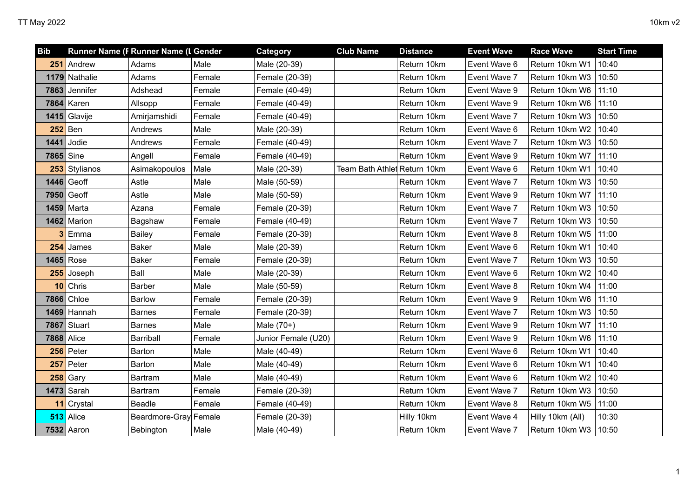| <b>Bib</b>        |               | Runner Name (F Runner Name (L Gender |        | Category            | <b>Club Name</b>             | <b>Distance</b> | <b>Event Wave</b> | <b>Race Wave</b> | <b>Start Time</b> |
|-------------------|---------------|--------------------------------------|--------|---------------------|------------------------------|-----------------|-------------------|------------------|-------------------|
|                   | 251 Andrew    | Adams                                | Male   | Male (20-39)        |                              | Return 10km     | Event Wave 6      | Return 10km W1   | 10:40             |
|                   | 1179 Nathalie | Adams                                | Female | Female (20-39)      |                              | Return 10km     | Event Wave 7      | Return 10km W3   | 10:50             |
|                   | 7863 Jennifer | Adshead                              | Female | Female (40-49)      |                              | Return 10km     | Event Wave 9      | Return 10km W6   | 11:10             |
| 7864              | Karen         | Allsopp                              | Female | Female (40-49)      |                              | Return 10km     | Event Wave 9      | Return 10km W6   | 11:10             |
|                   | 1415 Glavije  | Amirjamshidi                         | Female | Female (40-49)      |                              | Return 10km     | Event Wave 7      | Return 10km W3   | 10:50             |
|                   | $252$ Ben     | Andrews                              | Male   | Male (20-39)        |                              | Return 10km     | Event Wave 6      | Return 10km W2   | 10:40             |
| 1441              | Jodie         | Andrews                              | Female | Female (40-49)      |                              | Return 10km     | Event Wave 7      | Return 10km W3   | 10:50             |
| 7865 Sine         |               | Angell                               | Female | Female (40-49)      |                              | Return 10km     | Event Wave 9      | Return 10km W7   | 11:10             |
|                   | 253 Stylianos | Asimakopoulos                        | Male   | Male (20-39)        | Team Bath Athlet Return 10km |                 | Event Wave 6      | Return 10km W1   | 10:40             |
|                   | $1446$ Geoff  | Astle                                | Male   | Male (50-59)        |                              | Return 10km     | Event Wave 7      | Return 10km W3   | 10:50             |
|                   | 7950 Geoff    | Astle                                | Male   | Male (50-59)        |                              | Return 10km     | Event Wave 9      | Return 10km W7   | 11:10             |
| 1459              | Marta         | Azana                                | Female | Female (20-39)      |                              | Return 10km     | Event Wave 7      | Return 10km W3   | 10:50             |
|                   | 1462 Marion   | Bagshaw                              | Female | Female (40-49)      |                              | Return 10km     | Event Wave 7      | Return 10km W3   | 10:50             |
|                   | Emma          | Bailey                               | Female | Female (20-39)      |                              | Return 10km     | Event Wave 8      | Return 10km W5   | 11:00             |
| 254               | James         | <b>Baker</b>                         | Male   | Male (20-39)        |                              | Return 10km     | Event Wave 6      | Return 10km W1   | 10:40             |
|                   | 1465 Rose     | <b>Baker</b>                         | Female | Female (20-39)      |                              | Return 10km     | Event Wave 7      | Return 10km W3   | 10:50             |
|                   | 255 Joseph    | Ball                                 | Male   | Male (20-39)        |                              | Return 10km     | Event Wave 6      | Return 10km W2   | 10:40             |
|                   | $10$ Chris    | <b>Barber</b>                        | Male   | Male (50-59)        |                              | Return 10km     | Event Wave 8      | Return 10km W4   | 11:00             |
|                   | 7866 Chloe    | <b>Barlow</b>                        | Female | Female (20-39)      |                              | Return 10km     | Event Wave 9      | Return 10km W6   | 11:10             |
|                   | $1469$ Hannah | <b>Barnes</b>                        | Female | Female (20-39)      |                              | Return 10km     | Event Wave 7      | Return 10km W3   | 10:50             |
| 7867              | Stuart        | <b>Barnes</b>                        | Male   | Male $(70+)$        |                              | Return 10km     | Event Wave 9      | Return 10km W7   | 11:10             |
| <b>7868 Alice</b> |               | Barriball                            | Female | Junior Female (U20) |                              | Return 10km     | Event Wave 9      | Return 10km W6   | 11:10             |
|                   | $256$ Peter   | Barton                               | Male   | Male (40-49)        |                              | Return 10km     | Event Wave 6      | Return 10km W1   | 10:40             |
| 257               | Peter         | Barton                               | Male   | Male (40-49)        |                              | Return 10km     | Event Wave 6      | Return 10km W1   | 10:40             |
| 258               | Gary          | Bartram                              | Male   | Male (40-49)        |                              | Return 10km     | Event Wave 6      | Return 10km W2   | 10:40             |
|                   | $1473$ Sarah  | Bartram                              | Female | Female (20-39)      |                              | Return 10km     | Event Wave 7      | Return 10km W3   | 10:50             |
|                   | 11 Crystal    | Beadle                               | Female | Female (40-49)      |                              | Return 10km     | Event Wave 8      | Return 10km W5   | 11:00             |
|                   | $513$ Alice   | Beardmore-Gray Female                |        | Female (20-39)      |                              | Hilly 10km      | Event Wave 4      | Hilly 10km (All) | 10:30             |
|                   | $7532$ Aaron  | Bebington                            | Male   | Male (40-49)        |                              | Return 10km     | Event Wave 7      | Return 10km W3   | 10:50             |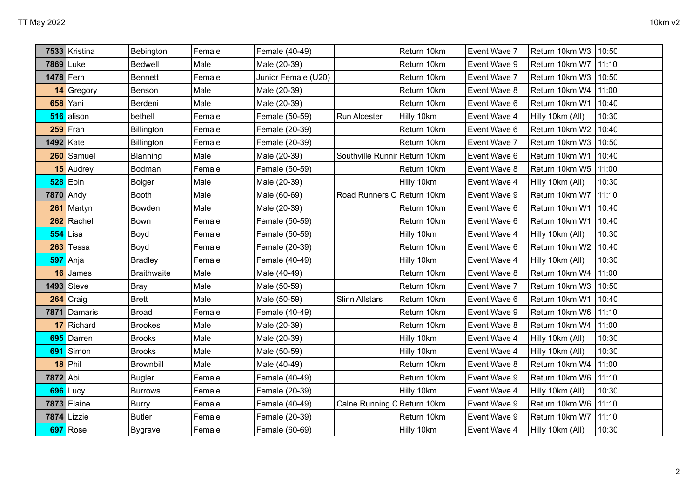|           | 7533 Kristina | Bebington          | Female | Female (40-49)      |                               | Return 10km | Event Wave 7 | Return 10km W3   | 10:50 |
|-----------|---------------|--------------------|--------|---------------------|-------------------------------|-------------|--------------|------------------|-------|
|           | 7869 Luke     | Bedwell            | Male   | Male (20-39)        |                               | Return 10km | Event Wave 9 | Return 10km W7   | 11:10 |
| 1478 Fern |               | <b>Bennett</b>     | Female | Junior Female (U20) |                               | Return 10km | Event Wave 7 | Return 10km W3   | 10:50 |
|           | 14 Gregory    | Benson             | Male   | Male (20-39)        |                               | Return 10km | Event Wave 8 | Return 10km W4   | 11:00 |
| 658       | Yani          | Berdeni            | Male   | Male (20-39)        |                               | Return 10km | Event Wave 6 | Return 10km W1   | 10:40 |
| 516       | alison        | bethell            | Female | Female (50-59)      | Run Alcester                  | Hilly 10km  | Event Wave 4 | Hilly 10km (All) | 10:30 |
| 259       | Fran          | Billington         | Female | Female (20-39)      |                               | Return 10km | Event Wave 6 | Return 10km W2   | 10:40 |
|           | 1492 Kate     | Billington         | Female | Female (20-39)      |                               | Return 10km | Event Wave 7 | Return 10km W3   | 10:50 |
|           | 260 Samuel    | Blanning           | Male   | Male (20-39)        | Southville Runnir Return 10km |             | Event Wave 6 | Return 10km W1   | 10:40 |
|           | 15 Audrey     | Bodman             | Female | Female (50-59)      |                               | Return 10km | Event Wave 8 | Return 10km W5   | 11:00 |
| 528       | Eoin          | <b>Bolger</b>      | Male   | Male (20-39)        |                               | Hilly 10km  | Event Wave 4 | Hilly 10km (All) | 10:30 |
|           | 7870 Andy     | <b>Booth</b>       | Male   | Male (60-69)        | Road Runners C Return 10km    |             | Event Wave 9 | Return 10km W7   | 11:10 |
| 261       | Martyn        | Bowden             | Male   | Male (20-39)        |                               | Return 10km | Event Wave 6 | Return 10km W1   | 10:40 |
| 262       | Rachel        | Bown               | Female | Female (50-59)      |                               | Return 10km | Event Wave 6 | Return 10km W1   | 10:40 |
| 554       | Lisa          | Boyd               | Female | Female (50-59)      |                               | Hilly 10km  | Event Wave 4 | Hilly 10km (All) | 10:30 |
| 263       | Tessa         | Boyd               | Female | Female (20-39)      |                               | Return 10km | Event Wave 6 | Return 10km W2   | 10:40 |
| 597       | Anja          | <b>Bradley</b>     | Female | Female (40-49)      |                               | Hilly 10km  | Event Wave 4 | Hilly 10km (All) | 10:30 |
| 16        | James         | <b>Braithwaite</b> | Male   | Male (40-49)        |                               | Return 10km | Event Wave 8 | Return 10km W4   | 11:00 |
| 1493      | Steve         | <b>Bray</b>        | Male   | Male (50-59)        |                               | Return 10km | Event Wave 7 | Return 10km W3   | 10:50 |
| 264       | Craig         | <b>Brett</b>       | Male   | Male (50-59)        | <b>Slinn Allstars</b>         | Return 10km | Event Wave 6 | Return 10km W1   | 10:40 |
| 7871      | Damaris       | <b>Broad</b>       | Female | Female (40-49)      |                               | Return 10km | Event Wave 9 | Return 10km W6   | 11:10 |
| 17        | Richard       | <b>Brookes</b>     | Male   | Male (20-39)        |                               | Return 10km | Event Wave 8 | Return 10km W4   | 11:00 |
| 695       | Darren        | <b>Brooks</b>      | Male   | Male (20-39)        |                               | Hilly 10km  | Event Wave 4 | Hilly 10km (All) | 10:30 |
| 691       | Simon         | <b>Brooks</b>      | Male   | Male (50-59)        |                               | Hilly 10km  | Event Wave 4 | Hilly 10km (All) | 10:30 |
| 18        | Phil          | Brownbill          | Male   | Male (40-49)        |                               | Return 10km | Event Wave 8 | Return 10km W4   | 11:00 |
| 7872 Abi  |               | <b>Bugler</b>      | Female | Female (40-49)      |                               | Return 10km | Event Wave 9 | Return 10km W6   | 11:10 |
| 696       | Lucy          | <b>Burrows</b>     | Female | Female (20-39)      |                               | Hilly 10km  | Event Wave 4 | Hilly 10km (All) | 10:30 |
| 7873      | Elaine        | <b>Burry</b>       | Female | Female (40-49)      | Calne Running C Return 10km   |             | Event Wave 9 | Return 10km W6   | 11:10 |
| 7874      | Lizzie        | <b>Butler</b>      | Female | Female (20-39)      |                               | Return 10km | Event Wave 9 | Return 10km W7   | 11:10 |
| 697       | Rose          | <b>Bygrave</b>     | Female | Female (60-69)      |                               | Hilly 10km  | Event Wave 4 | Hilly 10km (All) | 10:30 |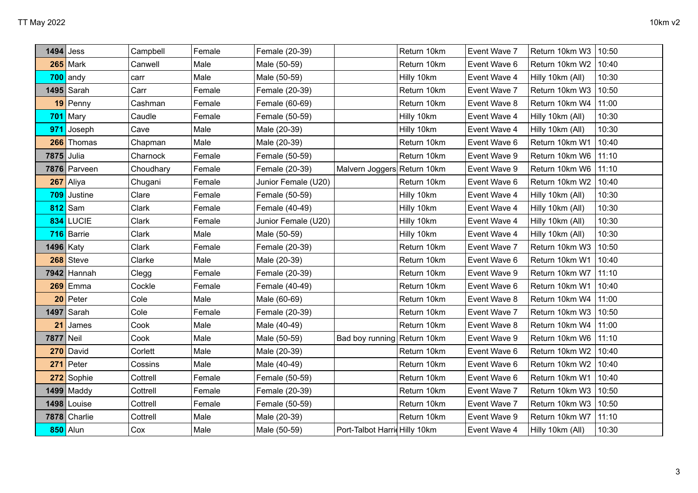|                  | $1494$ Jess   | Campbell  | Female | Female (20-39)      |                               | Return 10km | Event Wave 7 | Return 10km W3   | 10:50 |
|------------------|---------------|-----------|--------|---------------------|-------------------------------|-------------|--------------|------------------|-------|
|                  | $265$ Mark    | Canwell   | Male   | Male (50-59)        |                               | Return 10km | Event Wave 6 | Return 10km W2   | 10:40 |
| 700              | andy          | carr      | Male   | Male (50-59)        |                               | Hilly 10km  | Event Wave 4 | Hilly 10km (All) | 10:30 |
|                  | $1495$ Sarah  | Carr      | Female | Female (20-39)      |                               | Return 10km | Event Wave 7 | Return 10km W3   | 10:50 |
|                  | $19$ Penny    | Cashman   | Female | Female (60-69)      |                               | Return 10km | Event Wave 8 | Return 10km W4   | 11:00 |
|                  | $701$ Mary    | Caudle    | Female | Female (50-59)      |                               | Hilly 10km  | Event Wave 4 | Hilly 10km (All) | 10:30 |
| 971              | Joseph        | Cave      | Male   | Male (20-39)        |                               | Hilly 10km  | Event Wave 4 | Hilly 10km (All) | 10:30 |
|                  | 266 Thomas    | Chapman   | Male   | Male (20-39)        |                               | Return 10km | Event Wave 6 | Return 10km W1   | 10:40 |
| 7875 Julia       |               | Charnock  | Female | Female (50-59)      |                               | Return 10km | Event Wave 9 | Return 10km W6   | 11:10 |
|                  | 7876 Parveen  | Choudhary | Female | Female (20-39)      | Malvern Joggers Return 10km   |             | Event Wave 9 | Return 10km W6   | 11:10 |
| 267              | Aliya         | Chugani   | Female | Junior Female (U20) |                               | Return 10km | Event Wave 6 | Return 10km W2   | 10:40 |
| 709              | Justine       | Clare     | Female | Female (50-59)      |                               | Hilly 10km  | Event Wave 4 | Hilly 10km (All) | 10:30 |
| 812              | Sam           | Clark     | Female | Female (40-49)      |                               | Hilly 10km  | Event Wave 4 | Hilly 10km (All) | 10:30 |
| 834              | <b>LUCIE</b>  | Clark     | Female | Junior Female (U20) |                               | Hilly 10km  | Event Wave 4 | Hilly 10km (All) | 10:30 |
|                  | 716 Barrie    | Clark     | Male   | Male (50-59)        |                               | Hilly 10km  | Event Wave 4 | Hilly 10km (All) | 10:30 |
| <b>1496</b> Katy |               | Clark     | Female | Female (20-39)      |                               | Return 10km | Event Wave 7 | Return 10km W3   | 10:50 |
| 268              | Steve         | Clarke    | Male   | Male (20-39)        |                               | Return 10km | Event Wave 6 | Return 10km W1   | 10:40 |
|                  | $7942$ Hannah | Clegg     | Female | Female (20-39)      |                               | Return 10km | Event Wave 9 | Return 10km W7   | 11:10 |
| 269              | Emma          | Cockle    | Female | Female (40-49)      |                               | Return 10km | Event Wave 6 | Return 10km W1   | 10:40 |
| 20               | Peter         | Cole      | Male   | Male (60-69)        |                               | Return 10km | Event Wave 8 | Return 10km W4   | 11:00 |
| 1497             | Sarah         | Cole      | Female | Female (20-39)      |                               | Return 10km | Event Wave 7 | Return 10km W3   | 10:50 |
| 21               | James         | Cook      | Male   | Male (40-49)        |                               | Return 10km | Event Wave 8 | Return 10km W4   | 11:00 |
| 7877 Neil        |               | Cook      | Male   | Male (50-59)        | Bad boy running Return 10km   |             | Event Wave 9 | Return 10km W6   | 11:10 |
| 270              | David         | Corlett   | Male   | Male (20-39)        |                               | Return 10km | Event Wave 6 | Return 10km W2   | 10:40 |
| 271              | Peter         | Cossins   | Male   | Male (40-49)        |                               | Return 10km | Event Wave 6 | Return 10km W2   | 10:40 |
| 272              | Sophie        | Cottrell  | Female | Female (50-59)      |                               | Return 10km | Event Wave 6 | Return 10km W1   | 10:40 |
| 1499             | Maddy         | Cottrell  | Female | Female (20-39)      |                               | Return 10km | Event Wave 7 | Return 10km W3   | 10:50 |
| 1498             | Louise        | Cottrell  | Female | Female (50-59)      |                               | Return 10km | Event Wave 7 | Return 10km W3   | 10:50 |
| 7878             | Charlie       | Cottrell  | Male   | Male (20-39)        |                               | Return 10km | Event Wave 9 | Return 10km W7   | 11:10 |
|                  | 850 Alun      | Cox       | Male   | Male (50-59)        | Port-Talbot Harrid Hilly 10km |             | Event Wave 4 | Hilly 10km (All) | 10:30 |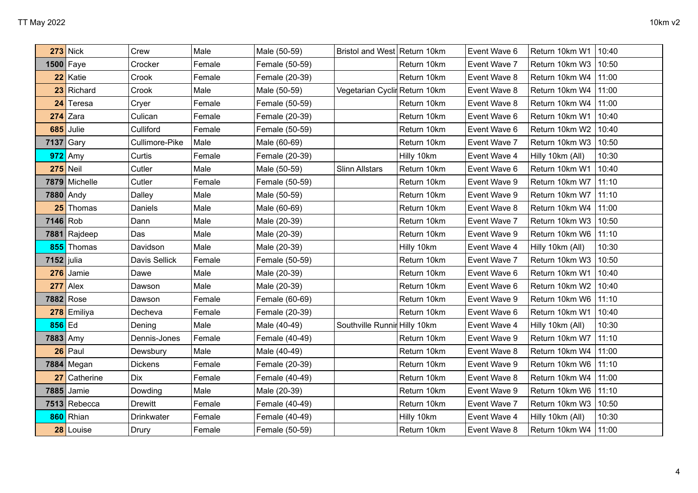|              | <b>273</b> Nick | Crew           | Male   | Male (50-59)   | Bristol and West Return 10km  |             | Event Wave 6 | Return 10km W1         | 10:40 |
|--------------|-----------------|----------------|--------|----------------|-------------------------------|-------------|--------------|------------------------|-------|
|              | $1500$ Faye     | Crocker        | Female | Female (50-59) |                               | Return 10km | Event Wave 7 | Return 10km W3         | 10:50 |
|              | 22 Katie        | Crook          | Female | Female (20-39) |                               | Return 10km | Event Wave 8 | Return 10km W4         | 11:00 |
|              | 23 Richard      | Crook          | Male   | Male (50-59)   | Vegetarian Cyclir Return 10km |             | Event Wave 8 | Return 10km W4         | 11:00 |
|              | 24 Teresa       | Cryer          | Female | Female (50-59) |                               | Return 10km | Event Wave 8 | Return 10km W4         | 11:00 |
|              | $274$ Zara      | Culican        | Female | Female (20-39) |                               | Return 10km | Event Wave 6 | Return 10km W1         | 10:40 |
| 685          | Julie           | Culliford      | Female | Female (50-59) |                               | Return 10km | Event Wave 6 | Return 10km W2         | 10:40 |
| 7137 Gary    |                 | Cullimore-Pike | Male   | Male (60-69)   |                               | Return 10km | Event Wave 7 | Return 10km W3         | 10:50 |
| 972          | Amy             | Curtis         | Female | Female (20-39) |                               | Hilly 10km  | Event Wave 4 | Hilly 10km (All)       | 10:30 |
|              | $275$ Neil      | Cutler         | Male   | Male (50-59)   | <b>Slinn Allstars</b>         | Return 10km | Event Wave 6 | Return 10km W1         | 10:40 |
|              | 7879 Michelle   | Cutler         | Female | Female (50-59) |                               | Return 10km | Event Wave 9 | Return 10km W7         | 11:10 |
|              | 7880 Andy       | Dalley         | Male   | Male (50-59)   |                               | Return 10km | Event Wave 9 | Return 10km W7         | 11:10 |
| 25           | Thomas          | Daniels        | Male   | Male (60-69)   |                               | Return 10km | Event Wave 8 | Return 10km W4         | 11:00 |
| 7146 Rob     |                 | Dann           | Male   | Male (20-39)   |                               | Return 10km | Event Wave 7 | Return 10km W3         | 10:50 |
|              | 7881 Rajdeep    | Das            | Male   | Male (20-39)   |                               | Return 10km | Event Wave 9 | Return 10km W6         | 11:10 |
|              | 855 Thomas      | Davidson       | Male   | Male (20-39)   |                               | Hilly 10km  | Event Wave 4 | Hilly 10km (All)       | 10:30 |
| $7152$ julia |                 | Davis Sellick  | Female | Female (50-59) |                               | Return 10km | Event Wave 7 | Return 10km W3         | 10:50 |
| 276          | Jamie           | Dawe           | Male   | Male (20-39)   |                               | Return 10km | Event Wave 6 | Return 10km W1         | 10:40 |
| 277          | Alex            | Dawson         | Male   | Male (20-39)   |                               | Return 10km | Event Wave 6 | Return 10km W2         | 10:40 |
|              | 7882 Rose       | Dawson         | Female | Female (60-69) |                               | Return 10km | Event Wave 9 | Return 10km W6         | 11:10 |
| 278          | Emiliya         | Decheva        | Female | Female (20-39) |                               | Return 10km | Event Wave 6 | Return 10km W1         | 10:40 |
| $856$ Ed     |                 | Dening         | Male   | Male (40-49)   | Southville Runnir Hilly 10km  |             | Event Wave 4 | Hilly 10km (All)       | 10:30 |
| 7883 Amy     |                 | Dennis-Jones   | Female | Female (40-49) |                               | Return 10km | Event Wave 9 | Return 10km W7         | 11:10 |
| 26           | Paul            | Dewsbury       | Male   | Male (40-49)   |                               | Return 10km | Event Wave 8 | Return 10km W4         | 11:00 |
|              | $7884$ Megan    | Dickens        | Female | Female (20-39) |                               | Return 10km | Event Wave 9 | Return 10km W6         | 11:10 |
| 27           | Catherine       | <b>Dix</b>     | Female | Female (40-49) |                               | Return 10km | Event Wave 8 | Return 10km W4         | 11:00 |
|              | 7885 Jamie      | Dowding        | Male   | Male (20-39)   |                               | Return 10km | Event Wave 9 | Return 10km W6         | 11:10 |
|              | $7513$ Rebecca  | <b>Drewitt</b> | Female | Female (40-49) |                               | Return 10km | Event Wave 7 | Return 10km W3         | 10:50 |
| 860          | Rhian           | Drinkwater     | Female | Female (40-49) |                               | Hilly 10km  | Event Wave 4 | Hilly 10km (All)       | 10:30 |
|              | 28 Louise       | Drury          | Female | Female (50-59) |                               | Return 10km | Event Wave 8 | Return 10km W4   11:00 |       |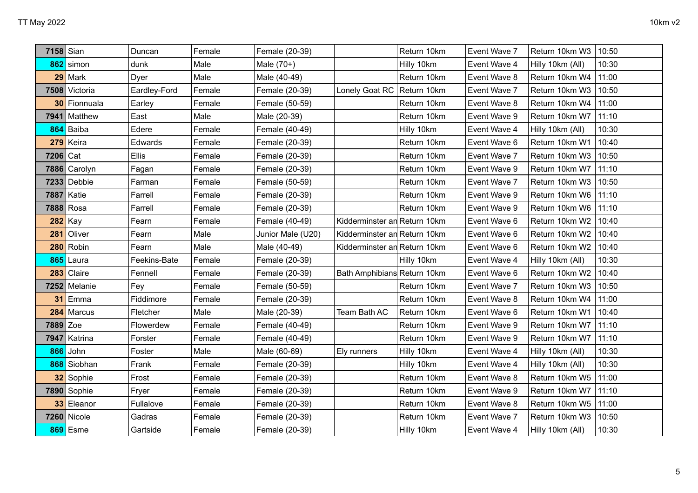|                 | 7158 Sian          | Duncan       | Female | Female (20-39)    |                              | Return 10km | Event Wave 7 | Return 10km W3         | 10:50 |
|-----------------|--------------------|--------------|--------|-------------------|------------------------------|-------------|--------------|------------------------|-------|
|                 | 862 simon          | dunk         | Male   | Male $(70+)$      |                              | Hilly 10km  | Event Wave 4 | Hilly 10km (All)       | 10:30 |
| 29              | Mark               | Dyer         | Male   | Male (40-49)      |                              | Return 10km | Event Wave 8 | Return 10km W4         | 11:00 |
|                 | 7508 Victoria      | Eardley-Ford | Female | Female (20-39)    | Lonely Goat RC   Return 10km |             | Event Wave 7 | Return 10km W3   10:50 |       |
| 30 <sup>°</sup> | Fionnuala          | Earley       | Female | Female (50-59)    |                              | Return 10km | Event Wave 8 | Return 10km W4         | 11:00 |
|                 | 7941 Matthew       | East         | Male   | Male (20-39)      |                              | Return 10km | Event Wave 9 | Return 10km W7         | 11:10 |
| 864             | Baiba              | Edere        | Female | Female (40-49)    |                              | Hilly 10km  | Event Wave 4 | Hilly 10km (All)       | 10:30 |
| 279             | Keira              | Edwards      | Female | Female (20-39)    |                              | Return 10km | Event Wave 6 | Return 10km W1         | 10:40 |
| 7206 Cat        |                    | <b>Ellis</b> | Female | Female (20-39)    |                              | Return 10km | Event Wave 7 | Return 10km W3         | 10:50 |
|                 | 7886 Carolyn       | Fagan        | Female | Female (20-39)    |                              | Return 10km | Event Wave 9 | Return 10km W7         | 11:10 |
| 7233            | Debbie             | Farman       | Female | Female (50-59)    |                              | Return 10km | Event Wave 7 | Return 10km W3         | 10:50 |
|                 | 7887 Katie         | Farrell      | Female | Female (20-39)    |                              | Return 10km | Event Wave 9 | Return 10km W6         | 11:10 |
|                 | 7888 Rosa          | Farrell      | Female | Female (20-39)    |                              | Return 10km | Event Wave 9 | Return 10km W6         | 11:10 |
|                 | $282$ Kay          | Fearn        | Female | Female (40-49)    | Kidderminster an Return 10km |             | Event Wave 6 | Return 10km W2         | 10:40 |
| 281             | Oliver             | Fearn        | Male   | Junior Male (U20) | Kidderminster an Return 10km |             | Event Wave 6 | Return 10km W2         | 10:40 |
| 280             | Robin              | Fearn        | Male   | Male (40-49)      | Kidderminster an Return 10km |             | Event Wave 6 | Return 10km W2         | 10:40 |
| 865             | Laura              | Feekins-Bate | Female | Female (20-39)    |                              | Hilly 10km  | Event Wave 4 | Hilly 10km (All)       | 10:30 |
| 283             | Claire             | Fennell      | Female | Female (20-39)    | Bath Amphibians Return 10km  |             | Event Wave 6 | Return 10km W2         | 10:40 |
| 7252            | Melanie            | Fey          | Female | Female (50-59)    |                              | Return 10km | Event Wave 7 | Return 10km W3         | 10:50 |
| 31              | Emma               | Fiddimore    | Female | Female (20-39)    |                              | Return 10km | Event Wave 8 | Return 10km W4         | 11:00 |
| 284             | Marcus             | Fletcher     |        |                   |                              |             |              |                        |       |
|                 |                    |              | Male   | Male (20-39)      | Team Bath AC                 | Return 10km | Event Wave 6 | Return 10km W1         | 10:40 |
|                 | 7889 Zoe           | Flowerdew    | Female | Female (40-49)    |                              | Return 10km | Event Wave 9 | Return 10km W7         | 11:10 |
| 7947            | Katrina            | Forster      | Female | Female (40-49)    |                              | Return 10km | Event Wave 9 | Return 10km W7         | 11:10 |
| 866             | John               | Foster       | Male   | Male (60-69)      | Ely runners                  | Hilly 10km  | Event Wave 4 | Hilly 10km (All)       | 10:30 |
| 868             | Siobhan            | Frank        | Female | Female (20-39)    |                              | Hilly 10km  | Event Wave 4 | Hilly 10km (All)       | 10:30 |
| 32              | Sophie             | Frost        | Female | Female (20-39)    |                              | Return 10km | Event Wave 8 | Return 10km W5         | 11:00 |
|                 | 7890 Sophie        | Fryer        | Female | Female (20-39)    |                              | Return 10km | Event Wave 9 | Return 10km W7         | 11:10 |
| 33              | Eleanor            | Fullalove    | Female | Female (20-39)    |                              | Return 10km | Event Wave 8 | Return 10km W5         | 11:00 |
|                 | <b>7260</b> Nicole | Gadras       | Female | Female (20-39)    |                              | Return 10km | Event Wave 7 | Return 10km W3         | 10:50 |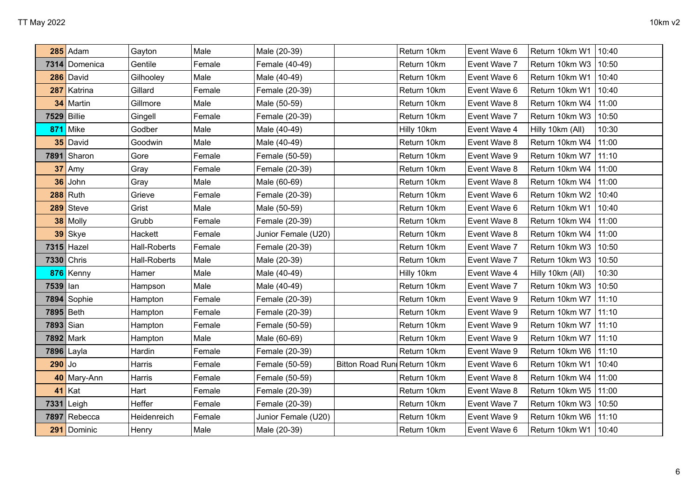|           | $285$ Adam         | Gayton              | Male   | Male (20-39)        |                             | Return 10km | Event Wave 6 | Return 10km W1   | 10:40 |
|-----------|--------------------|---------------------|--------|---------------------|-----------------------------|-------------|--------------|------------------|-------|
| 7314      | Domenica           | Gentile             | Female | Female (40-49)      |                             | Return 10km | Event Wave 7 | Return 10km W3   | 10:50 |
| 286       | David              | Gilhooley           | Male   | Male (40-49)        |                             | Return 10km | Event Wave 6 | Return 10km W1   | 10:40 |
| 287       | Katrina            | Gillard             | Female | Female (20-39)      |                             | Return 10km | Event Wave 6 | Return 10km W1   | 10:40 |
| 34        | Martin             | Gillmore            | Male   | Male (50-59)        |                             | Return 10km | Event Wave 8 | Return 10km W4   | 11:00 |
|           | <b>7529 Billie</b> | Gingell             | Female | Female (20-39)      |                             | Return 10km | Event Wave 7 | Return 10km W3   | 10:50 |
| 871       | Mike               | Godber              | Male   | Male (40-49)        |                             | Hilly 10km  | Event Wave 4 | Hilly 10km (All) | 10:30 |
|           | 35 David           | Goodwin             | Male   | Male (40-49)        |                             | Return 10km | Event Wave 8 | Return 10km W4   | 11:00 |
|           | 7891 Sharon        | Gore                | Female | Female (50-59)      |                             | Return 10km | Event Wave 9 | Return 10km W7   | 11:10 |
|           | 37 Amy             | Gray                | Female | Female (20-39)      |                             | Return 10km | Event Wave 8 | Return 10km W4   | 11:00 |
| 36        | John               | Gray                | Male   | Male (60-69)        |                             | Return 10km | Event Wave 8 | Return 10km W4   | 11:00 |
|           | $288$ Ruth         | Grieve              | Female | Female (20-39)      |                             | Return 10km | Event Wave 6 | Return 10km W2   | 10:40 |
| 289       | Steve              | Grist               | Male   | Male (50-59)        |                             | Return 10km | Event Wave 6 | Return 10km W1   | 10:40 |
|           | 38 Molly           | Grubb               | Female | Female (20-39)      |                             | Return 10km | Event Wave 8 | Return 10km W4   | 11:00 |
| 39        | Skye               | Hackett             | Female | Junior Female (U20) |                             | Return 10km | Event Wave 8 | Return 10km W4   | 11:00 |
|           | 7315 Hazel         | <b>Hall-Roberts</b> | Female | Female (20-39)      |                             | Return 10km | Event Wave 7 | Return 10km W3   | 10:50 |
|           | 7330 Chris         | <b>Hall-Roberts</b> | Male   | Male (20-39)        |                             | Return 10km | Event Wave 7 | Return 10km W3   | 10:50 |
|           | 876 Kenny          | Hamer               | Male   | Male (40-49)        |                             | Hilly 10km  | Event Wave 4 | Hilly 10km (All) | 10:30 |
| 7539 lan  |                    | Hampson             | Male   | Male (40-49)        |                             | Return 10km | Event Wave 7 | Return 10km W3   | 10:50 |
|           | $7894$ Sophie      | Hampton             | Female | Female (20-39)      |                             | Return 10km | Event Wave 9 | Return 10km W7   | 11:10 |
|           | 7895 Beth          | Hampton             | Female | Female (20-39)      |                             | Return 10km | Event Wave 9 | Return 10km W7   | 11:10 |
| 7893 Sian |                    | Hampton             | Female | Female (50-59)      |                             | Return 10km | Event Wave 9 | Return 10km W7   | 11:10 |
|           | 7892 Mark          | Hampton             | Male   | Male (60-69)        |                             | Return 10km | Event Wave 9 | Return 10km W7   | 11:10 |
|           | 7896 Layla         | Hardin              | Female | Female (20-39)      |                             | Return 10km | Event Wave 9 | Return 10km W6   | 11:10 |
| $290$ Jo  |                    | Harris              | Female | Female (50-59)      | Bitton Road Run Return 10km |             | Event Wave 6 | Return 10km W1   | 10:40 |
|           | 40 Mary-Ann        | Harris              | Female | Female (50-59)      |                             | Return 10km | Event Wave 8 | Return 10km W4   | 11:00 |
| 41        | Kat                | Hart                | Female | Female (20-39)      |                             | Return 10km | Event Wave 8 | Return 10km W5   | 11:00 |
| 7331      | Leigh              | Heffer              | Female | Female (20-39)      |                             | Return 10km | Event Wave 7 | Return 10km W3   | 10:50 |
| 7897      | Rebecca            | Heidenreich         | Female | Junior Female (U20) |                             | Return 10km | Event Wave 9 | Return 10km W6   | 11:10 |
|           | 291 Dominic        | Henry               | Male   | Male (20-39)        |                             | Return 10km | Event Wave 6 | Return 10km W1   | 10:40 |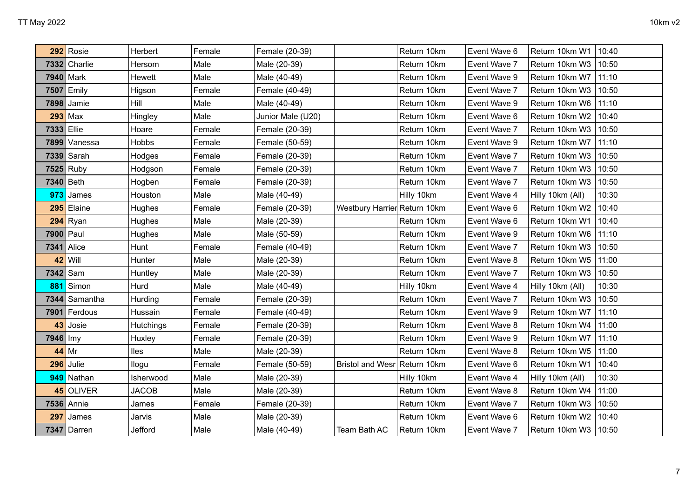|                           |                  |                             |                   |                                |             |                                                                                          |                              | 10:40                                              |
|---------------------------|------------------|-----------------------------|-------------------|--------------------------------|-------------|------------------------------------------------------------------------------------------|------------------------------|----------------------------------------------------|
|                           |                  |                             |                   |                                |             |                                                                                          |                              | 10:50                                              |
| 7940 Mark                 |                  | Male                        | Male (40-49)      |                                |             | Event Wave 9                                                                             |                              | 11:10                                              |
| $\mathsf{E}_{\mathsf{m}}$ | Higson           | Female                      | Female (40-49)    |                                | Return 10km | Event Wave 7                                                                             | Return 10km W3               | 10:50                                              |
| 7898<br>Jamie             | Hill             | Male                        | Male (40-49)      |                                | Return 10km | Event Wave 9                                                                             | Return 10km W6               | 11:10                                              |
| 293<br>$\big $ Max        | Hingley          | Male                        | Junior Male (U20) |                                | Return 10km | Event Wave 6                                                                             | Return 10km W2               | 10:40                                              |
| 7333 Ellie                | Hoare            | Female                      | Female (20-39)    |                                | Return 10km | Event Wave 7                                                                             | Return 10km W3               | 10:50                                              |
| 7899<br>Vanessa           | Hobbs            | Female                      | Female (50-59)    |                                | Return 10km | Event Wave 9                                                                             | Return 10km W7               | 11:10                                              |
| 7339 Sarah                | Hodges           | Female                      | Female (20-39)    |                                | Return 10km | Event Wave 7                                                                             | Return 10km W3               | 10:50                                              |
| 7525 Ruby                 | Hodgson          | Female                      | Female (20-39)    |                                | Return 10km | Event Wave 7                                                                             | Return 10km W3               | 10:50                                              |
| 7340 Beth                 | Hogben           | Female                      | Female (20-39)    |                                | Return 10km | Event Wave 7                                                                             | Return 10km W3               | 10:50                                              |
| 973<br>James              | Houston          | Male                        | Male (40-49)      |                                | Hilly 10km  | Event Wave 4                                                                             | Hilly 10km (All)             | 10:30                                              |
| 295<br>Elaine             | Hughes           | Female                      | Female (20-39)    |                                |             | Event Wave 6                                                                             | Return 10km W2               | 10:40                                              |
| 294<br>Ryan               | Hughes           | Male                        | Male (20-39)      |                                | Return 10km | Event Wave 6                                                                             | Return 10km W1               | 10:40                                              |
| 7900<br>Paul              | Hughes           | Male                        | Male (50-59)      |                                | Return 10km | Event Wave 9                                                                             | Return 10km W6               | 11:10                                              |
| Alice                     | Hunt             | Female                      | Female (40-49)    |                                | Return 10km | Event Wave 7                                                                             | Return 10km W3               | 10:50                                              |
| Will                      | Hunter           | Male                        | Male (20-39)      |                                | Return 10km | Event Wave 8                                                                             | Return 10km W5               | 11:00                                              |
| 7342 Sam                  | Huntley          | Male                        | Male (20-39)      |                                | Return 10km | Event Wave 7                                                                             | Return 10km W3               | 10:50                                              |
| Simon                     | Hurd             | Male                        | Male (40-49)      |                                | Hilly 10km  | Event Wave 4                                                                             | Hilly 10km (All)             | 10:30                                              |
| 7344<br>Samantha          | Hurding          | Female                      | Female (20-39)    |                                | Return 10km | Event Wave 7                                                                             | Return 10km W3               | 10:50                                              |
| Ferdous                   | Hussain          | Female                      | Female (40-49)    |                                | Return 10km | Event Wave 9                                                                             | Return 10km W7               | 11:10                                              |
| Josie                     | Hutchings        | Female                      | Female (20-39)    |                                | Return 10km | Event Wave 8                                                                             | Return 10km W4               | 11:00                                              |
| 7946   Imy                | Huxley           | Female                      | Female (20-39)    |                                | Return 10km | Event Wave 9                                                                             | Return 10km W7               | 11:10                                              |
| 44<br>$\vert$ Mr          | lles             | Male                        | Male (20-39)      |                                | Return 10km | Event Wave 8                                                                             | Return 10km W5               | 11:00                                              |
| Julie<br>296              | llogu            | Female                      | Female (50-59)    | <b>Bristol and Wesr</b>        |             | Event Wave 6                                                                             | Return 10km W1               | 10:40                                              |
| 949<br>Nathan             | Isherwood        | Male                        | Male (20-39)      |                                | Hilly 10km  | Event Wave 4                                                                             | Hilly 10km (All)             | 10:30                                              |
| 45 OLIVER                 | <b>JACOB</b>     | Male                        | Male (20-39)      |                                | Return 10km | Event Wave 8                                                                             | Return 10km W4               | 11:00                                              |
| 7536 Annie                | James            | Female                      | Female (20-39)    |                                | Return 10km | Event Wave 7                                                                             | Return 10km W3               | 10:50                                              |
| James                     | Jarvis           | Male                        | Male (20-39)      |                                | Return 10km | Event Wave 6                                                                             | Return 10km W2               | 10:40                                              |
| Darren                    | Jefford          | Male                        | Male (40-49)      | Team Bath AC                   | Return 10km | Event Wave 7                                                                             | Return 10km W3               | 10:50                                              |
| 7332                      | Rosie<br>Charlie | Herbert<br>Hersom<br>Hewett | Female<br>Male    | Female (20-39)<br>Male (20-39) |             | Return 10km<br>Return 10km<br>Return 10km<br>Westbury Harrier Return 10km<br>Return 10km | Event Wave 6<br>Event Wave 7 | Return 10km W1<br>Return 10km W3<br>Return 10km W7 |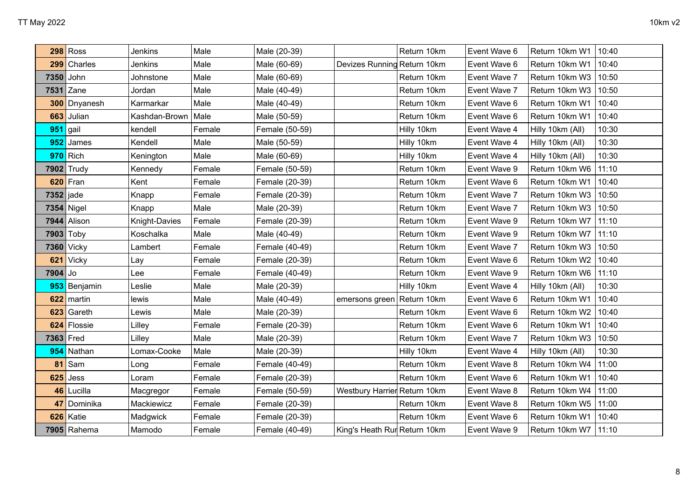|             | <b>298 Ross</b> | Jenkins       | Male   |                |                              | Return 10km |              | Return 10km W1   | 10:40 |
|-------------|-----------------|---------------|--------|----------------|------------------------------|-------------|--------------|------------------|-------|
|             |                 |               |        | Male (20-39)   |                              |             | Event Wave 6 |                  |       |
| 299         | <b>Charles</b>  | Jenkins       | Male   | Male (60-69)   | Devizes Running Return 10km  |             | Event Wave 6 | Return 10km W1   | 10:40 |
| 7350        | John            | Johnstone     | Male   | Male (60-69)   |                              | Return 10km | Event Wave 7 | Return 10km W3   | 10:50 |
| 7531        | Zane            | Jordan        | Male   | Male (40-49)   |                              | Return 10km | Event Wave 7 | Return 10km W3   | 10:50 |
| 300         | Dnyanesh        | Karmarkar     | Male   | Male (40-49)   |                              | Return 10km | Event Wave 6 | Return 10km W1   | 10:40 |
| 663         | Julian          | Kashdan-Brown | Male   | Male (50-59)   |                              | Return 10km | Event Wave 6 | Return 10km W1   | 10:40 |
| 951         | gail            | kendell       | Female | Female (50-59) |                              | Hilly 10km  | Event Wave 4 | Hilly 10km (All) | 10:30 |
| 952         | <b>James</b>    | Kendell       | Male   | Male (50-59)   |                              | Hilly 10km  | Event Wave 4 | Hilly 10km (All) | 10:30 |
|             | $970$ Rich      | Kenington     | Male   | Male (60-69)   |                              | Hilly 10km  | Event Wave 4 | Hilly 10km (All) | 10:30 |
|             | 7902 Trudy      | Kennedy       | Female | Female (50-59) |                              | Return 10km | Event Wave 9 | Return 10km W6   | 11:10 |
|             | $620$ Fran      | Kent          | Female | Female (20-39) |                              | Return 10km | Event Wave 6 | Return 10km W1   | 10:40 |
| $7352$ jade |                 | Knapp         | Female | Female (20-39) |                              | Return 10km | Event Wave 7 | Return 10km W3   | 10:50 |
|             | 7354 Nigel      | Knapp         | Male   | Male (20-39)   |                              | Return 10km | Event Wave 7 | Return 10km W3   | 10:50 |
|             | 7944 Alison     | Knight-Davies | Female | Female (20-39) |                              | Return 10km | Event Wave 9 | Return 10km W7   | 11:10 |
|             | 7903 Toby       | Koschalka     | Male   | Male (40-49)   |                              | Return 10km | Event Wave 9 | Return 10km W7   | 11:10 |
|             | 7360 Vicky      | Lambert       | Female | Female (40-49) |                              | Return 10km | Event Wave 7 | Return 10km W3   | 10:50 |
| 621         | Vicky           | Lay           | Female | Female (20-39) |                              | Return 10km | Event Wave 6 | Return 10km W2   | 10:40 |
| $7904$ Jo   |                 | Lee           | Female | Female (40-49) |                              | Return 10km | Event Wave 9 | Return 10km W6   | 11:10 |
| 953         | Benjamin        | Leslie        | Male   | Male (20-39)   |                              | Hilly 10km  | Event Wave 4 | Hilly 10km (All) | 10:30 |
| 622         | martin          | lewis         | Male   | Male (40-49)   | emersons green Return 10km   |             | Event Wave 6 | Return 10km W1   | 10:40 |
| 623         | Gareth          | Lewis         | Male   | Male (20-39)   |                              | Return 10km | Event Wave 6 | Return 10km W2   | 10:40 |
| 624         | Flossie         | Lilley        | Female | Female (20-39) |                              | Return 10km | Event Wave 6 | Return 10km W1   | 10:40 |
| 7363 Fred   |                 | Lilley        | Male   | Male (20-39)   |                              | Return 10km | Event Wave 7 | Return 10km W3   | 10:50 |
| 954         | Nathan          | Lomax-Cooke   | Male   | Male (20-39)   |                              | Hilly 10km  | Event Wave 4 | Hilly 10km (All) | 10:30 |
| 81          | Sam             | Long          | Female | Female (40-49) |                              | Return 10km | Event Wave 8 | Return 10km W4   | 11:00 |
| 625         | Jess            | Loram         | Female | Female (20-39) |                              | Return 10km | Event Wave 6 | Return 10km W1   | 10:40 |
| 46          | Lucilla         | Macgregor     | Female | Female (50-59) | Westbury Harrier Return 10km |             | Event Wave 8 | Return 10km W4   | 11:00 |
| 47          | Dominika        | Mackiewicz    | Female | Female (20-39) |                              | Return 10km | Event Wave 8 | Return 10km W5   | 11:00 |
| 626         | Katie           | Madgwick      | Female | Female (20-39) |                              | Return 10km | Event Wave 6 | Return 10km W1   | 10:40 |
|             | $7905$ Rahema   | Mamodo        | Female | Female (40-49) | King's Heath Rur Return 10km |             | Event Wave 9 | Return 10km W7   | 11:10 |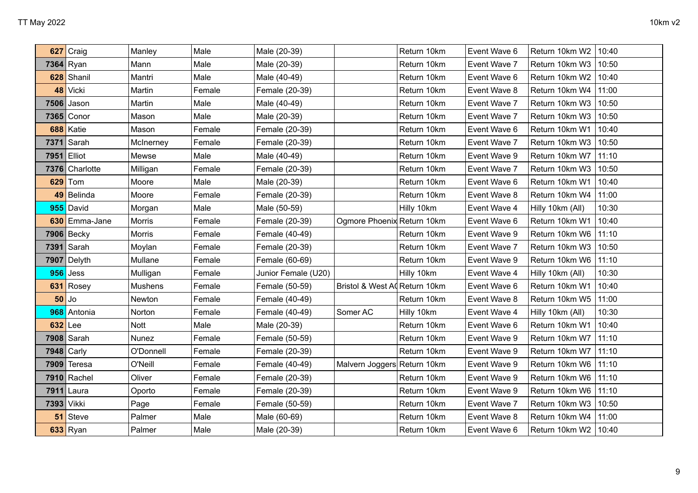| 627  | Craig      | Manley        | Male   | Male (20-39)        |                               | Return 10km | Event Wave 6 | Return 10km W2   | 10:40 |
|------|------------|---------------|--------|---------------------|-------------------------------|-------------|--------------|------------------|-------|
|      | 7364 Ryan  | Mann          | Male   | Male (20-39)        |                               | Return 10km | Event Wave 7 | Return 10km W3   | 10:50 |
| 628  | Shanil     | Mantri        | Male   | Male (40-49)        |                               | Return 10km | Event Wave 6 | Return 10km W2   | 10:40 |
| 48   | Vicki      | Martin        | Female | Female (20-39)      |                               | Return 10km | Event Wave 8 | Return 10km W4   | 11:00 |
| 7506 | Jason      | Martin        | Male   | Male (40-49)        |                               | Return 10km | Event Wave 7 | Return 10km W3   | 10:50 |
| 7365 | Conor      | Mason         | Male   | Male (20-39)        |                               | Return 10km | Event Wave 7 | Return 10km W3   | 10:50 |
| 688  | Katie      | Mason         | Female | Female (20-39)      |                               | Return 10km | Event Wave 6 | Return 10km W1   | 10:40 |
| 7371 | Sarah      | McInerney     | Female | Female (20-39)      |                               | Return 10km | Event Wave 7 | Return 10km W3   | 10:50 |
| 7951 | Elliot     | Mewse         | Male   | Male (40-49)        |                               | Return 10km | Event Wave 9 | Return 10km W7   | 11:10 |
| 7376 | Charlotte  | Milligan      | Female | Female (20-39)      |                               | Return 10km | Event Wave 7 | Return 10km W3   | 10:50 |
| 629  | Tom        | Moore         | Male   | Male (20-39)        |                               | Return 10km | Event Wave 6 | Return 10km W1   | 10:40 |
| 49   | Belinda    | Moore         | Female | Female (20-39)      |                               | Return 10km | Event Wave 8 | Return 10km W4   | 11:00 |
| 955  | David      | Morgan        | Male   | Male (50-59)        |                               | Hilly 10km  | Event Wave 4 | Hilly 10km (All) | 10:30 |
| 630  | Emma-Jane  | Morris        | Female | Female (20-39)      | Ogmore Phoenix Return 10km    |             | Event Wave 6 | Return 10km W1   | 10:40 |
| 7906 | Becky      | <b>Morris</b> | Female | Female (40-49)      |                               | Return 10km | Event Wave 9 | Return 10km W6   | 11:10 |
| 7391 | Sarah      | Moylan        | Female | Female (20-39)      |                               | Return 10km | Event Wave 7 | Return 10km W3   | 10:50 |
| 7907 | Delyth     | Mullane       | Female | Female (60-69)      |                               | Return 10km | Event Wave 9 | Return 10km W6   | 11:10 |
| 956  | Jess       | Mulligan      | Female | Junior Female (U20) |                               | Hilly 10km  | Event Wave 4 | Hilly 10km (All) | 10:30 |
| 631  | Rosey      | Mushens       | Female | Female (50-59)      | Bristol & West AI Return 10km |             | Event Wave 6 | Return 10km W1   | 10:40 |
| 50   | Jo         | Newton        | Female | Female (40-49)      |                               | Return 10km | Event Wave 8 | Return 10km W5   | 11:00 |
| 968  | Antonia    | Norton        | Female | Female (40-49)      | Somer AC                      | Hilly 10km  | Event Wave 4 | Hilly 10km (All) | 10:30 |
| 632  | Lee        | Nott          | Male   | Male (20-39)        |                               | Return 10km | Event Wave 6 | Return 10km W1   | 10:40 |
| 7908 | Sarah      | Nunez         | Female | Female (50-59)      |                               | Return 10km | Event Wave 9 | Return 10km W7   | 11:10 |
| 7948 | Carly      | O'Donnell     | Female | Female (20-39)      |                               | Return 10km | Event Wave 9 | Return 10km W7   | 11:10 |
| 7909 | Teresa     | O'Neill       | Female | Female (40-49)      | Malvern Joggers Return 10km   |             | Event Wave 9 | Return 10km W6   | 11:10 |
| 7910 | Rachel     | Oliver        | Female | Female (20-39)      |                               | Return 10km | Event Wave 9 | Return 10km W6   | 11:10 |
| 7911 | Laura      | Oporto        | Female | Female (20-39)      |                               | Return 10km | Event Wave 9 | Return 10km W6   | 11:10 |
| 7393 | Vikki      | Page          | Female | Female (50-59)      |                               | Return 10km | Event Wave 7 | Return 10km W3   | 10:50 |
| 51   | Steve      | Palmer        | Male   | Male (60-69)        |                               | Return 10km | Event Wave 8 | Return 10km W4   | 11:00 |
|      | $633$ Ryan | Palmer        | Male   | Male (20-39)        |                               | Return 10km | Event Wave 6 | Return 10km W2   | 10:40 |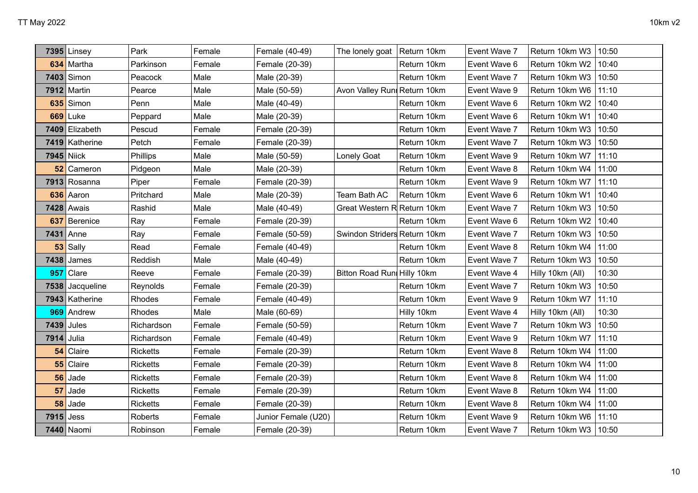|      | <b>7395 Linsey</b> | Park            | Female | Female (40-49)      | The lonely goat   Return 10km |             | Event Wave 7 | Return 10km W3         | 10:50 |
|------|--------------------|-----------------|--------|---------------------|-------------------------------|-------------|--------------|------------------------|-------|
| 634  | Martha             | Parkinson       | Female | Female (20-39)      |                               | Return 10km | Event Wave 6 | Return 10km W2         | 10:40 |
|      | 7403 Simon         | Peacock         | Male   | Male (20-39)        |                               | Return 10km | Event Wave 7 | Return 10km W3         | 10:50 |
|      | 7912 Martin        | Pearce          | Male   | Male (50-59)        | Avon Valley Runi Return 10km  |             | Event Wave 9 | Return 10km W6         | 11:10 |
| 635  | Simon              | Penn            | Male   | Male (40-49)        |                               | Return 10km | Event Wave 6 | Return 10km W2         | 10:40 |
|      | $669$ Luke         | Peppard         | Male   | Male (20-39)        |                               | Return 10km | Event Wave 6 | Return 10km W1         | 10:40 |
|      | 7409 Elizabeth     | Pescud          | Female | Female (20-39)      |                               | Return 10km | Event Wave 7 | Return 10km W3         | 10:50 |
|      | 7419 Katherine     | Petch           | Female | Female (20-39)      |                               | Return 10km | Event Wave 7 | Return 10km W3   10:50 |       |
|      | $7945$ Niick       | Phillips        | Male   | Male (50-59)        | Lonely Goat                   | Return 10km | Event Wave 9 | Return 10km W7         | 11:10 |
| 52   | Cameron            | Pidgeon         | Male   | Male (20-39)        |                               | Return 10km | Event Wave 8 | Return 10km W4         | 11:00 |
|      | 7913 Rosanna       | Piper           | Female | Female (20-39)      |                               | Return 10km | Event Wave 9 | Return 10km W7         | 11:10 |
| 636  | Aaron              | Pritchard       | Male   | Male (20-39)        | Team Bath AC                  | Return 10km | Event Wave 6 | Return 10km W1         | 10:40 |
| 7428 | Awais              | Rashid          | Male   | Male (40-49)        | Great Western R Return 10km   |             | Event Wave 7 | Return 10km W3         | 10:50 |
| 637  | Berenice           | Ray             | Female | Female (20-39)      |                               | Return 10km | Event Wave 6 | Return 10km W2         | 10:40 |
| 7431 | Anne               | Ray             | Female | Female (50-59)      | Swindon Striders Return 10km  |             | Event Wave 7 | Return 10km W3         | 10:50 |
| 53   | Sally              | Read            | Female | Female (40-49)      |                               | Return 10km | Event Wave 8 | Return 10km W4         | 11:00 |
| 7438 | James              | Reddish         | Male   | Male (40-49)        |                               | Return 10km | Event Wave 7 | Return 10km W3         | 10:50 |
| 957  | Clare              | Reeve           | Female | Female (20-39)      | Bitton Road Run Hilly 10km    |             | Event Wave 4 | Hilly 10km (All)       | 10:30 |
| 7538 | Jacqueline         | Reynolds        | Female | Female (20-39)      |                               | Return 10km | Event Wave 7 | Return 10km W3         | 10:50 |
|      | 7943 Katherine     | Rhodes          | Female | Female (40-49)      |                               | Return 10km | Event Wave 9 | Return 10km W7         | 11:10 |
| 969  | Andrew             | Rhodes          | Male   | Male (60-69)        |                               | Hilly 10km  | Event Wave 4 | Hilly 10km (All)       | 10:30 |
|      | 7439 Jules         | Richardson      | Female | Female (50-59)      |                               | Return 10km | Event Wave 7 | Return 10km W3         | 10:50 |
| 7914 | Julia              | Richardson      | Female | Female (40-49)      |                               | Return 10km | Event Wave 9 | Return 10km W7         | 11:10 |
| 54   | Claire             | Ricketts        | Female | Female (20-39)      |                               | Return 10km | Event Wave 8 | Return 10km W4         | 11:00 |
| 55   | Claire             | <b>Ricketts</b> | Female | Female (20-39)      |                               | Return 10km | Event Wave 8 | Return 10km W4         | 11:00 |
| 56   | Jade               | <b>Ricketts</b> | Female | Female (20-39)      |                               | Return 10km | Event Wave 8 | Return 10km W4         | 11:00 |
| 57   | Jade               | <b>Ricketts</b> | Female | Female (20-39)      |                               | Return 10km | Event Wave 8 | Return 10km W4         | 11:00 |
| 58   | Jade               | <b>Ricketts</b> | Female | Female (20-39)      |                               | Return 10km | Event Wave 8 | Return 10km W4         | 11:00 |
| 7915 | Jess               | <b>Roberts</b>  | Female | Junior Female (U20) |                               | Return 10km | Event Wave 9 | Return 10km W6         | 11:10 |
|      | 7440 Naomi         | Robinson        | Female | Female (20-39)      |                               | Return 10km | Event Wave 7 | Return 10km W3   10:50 |       |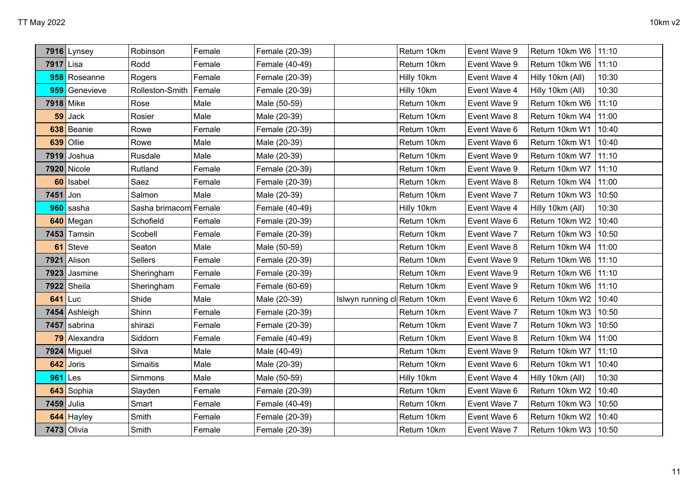|           | 7916 Lynsey        | Robinson              | Female | Female (20-39) |                               | Return 10km | Event Wave 9 | Return 10km W6         | 11:10 |
|-----------|--------------------|-----------------------|--------|----------------|-------------------------------|-------------|--------------|------------------------|-------|
| 7917 Lisa |                    | Rodd                  | Female | Female (40-49) |                               | Return 10km | Event Wave 9 | Return 10km W6         | 11:10 |
|           | 958 Roseanne       | Rogers                | Female | Female (20-39) |                               | Hilly 10km  | Event Wave 4 | Hilly 10km (All)       | 10:30 |
|           | 959 Genevieve      | Rolleston-Smith       | Female | Female (20-39) |                               | Hilly 10km  | Event Wave 4 | Hilly 10km (All)       | 10:30 |
|           | 7918 Mike          | Rose                  | Male   | Male (50-59)   |                               | Return 10km | Event Wave 9 | Return 10km W6         | 11:10 |
|           | $59$ Jack          | Rosier                | Male   | Male (20-39)   |                               | Return 10km | Event Wave 8 | Return 10km W4         | 11:00 |
| 638       | Beanie             | Rowe                  | Female | Female (20-39) |                               | Return 10km | Event Wave 6 | Return 10km W1         | 10:40 |
| 639       | Ollie              | Rowe                  | Male   | Male (20-39)   |                               | Return 10km | Event Wave 6 | Return 10km W1         | 10:40 |
|           | 7919 Joshua        | Rusdale               | Male   | Male (20-39)   |                               | Return 10km | Event Wave 9 | Return 10km W7         | 11:10 |
|           | 7920 Nicole        | Rutland               | Female | Female (20-39) |                               | Return 10km | Event Wave 9 | Return 10km W7         | 11:10 |
| 60        | Isabel             | Saez                  | Female | Female (20-39) |                               | Return 10km | Event Wave 8 | Return 10km W4         | 11:00 |
| 7451      | $ $ Jon            | Salmon                | Male   | Male (20-39)   |                               | Return 10km | Event Wave 7 | Return 10km W3         | 10:50 |
|           | 960 sasha          | Sasha brimacom Female |        | Female (40-49) |                               | Hilly 10km  | Event Wave 4 | Hilly 10km (All)       | 10:30 |
|           | 640 Megan          | Schofield             | Female | Female (20-39) |                               | Return 10km | Event Wave 6 | Return 10km W2         | 10:40 |
|           | $7453$ Tamsin      | Scobell               | Female | Female (20-39) |                               | Return 10km | Event Wave 7 | Return 10km W3         | 10:50 |
| 61        | Steve              | Seaton                | Male   | Male (50-59)   |                               | Return 10km | Event Wave 8 | Return 10km W4         | 11:00 |
| 7921      | Alison             | Sellers               | Female | Female (20-39) |                               | Return 10km | Event Wave 9 | Return 10km W6         | 11:10 |
| 7923      | Jasmine            | Sheringham            | Female | Female (20-39) |                               | Return 10km | Event Wave 9 | Return 10km W6         | 11:10 |
|           | 7922 Sheila        | Sheringham            | Female | Female (60-69) |                               | Return 10km | Event Wave 9 | Return 10km W6         | 11:10 |
| 641       | Luc                | Shide                 | Male   | Male (20-39)   | Islwyn running cl Return 10km |             | Event Wave 6 | Return 10km W2         | 10:40 |
|           | 7454 Ashleigh      | Shinn                 | Female | Female (20-39) |                               | Return 10km | Event Wave 7 | Return 10km W3         | 10:50 |
|           | 7457 sabrina       | shirazi               | Female | Female (20-39) |                               | Return 10km | Event Wave 7 | Return 10km W3         | 10:50 |
|           | 79 Alexandra       | Siddorn               | Female | Female (40-49) |                               | Return 10km | Event Wave 8 | Return 10km W4         | 11:00 |
|           | $7924$ Miguel      | Silva                 | Male   | Male (40-49)   |                               | Return 10km | Event Wave 9 | Return 10km W7         | 11:10 |
|           | 642 Joris          | Simaitis              | Male   | Male (20-39)   |                               | Return 10km | Event Wave 6 | Return 10km W1         | 10:40 |
| 961       | Les                | Simmons               | Male   | Male (50-59)   |                               | Hilly 10km  | Event Wave 4 | Hilly 10km (All)       | 10:30 |
|           | 643 Sophia         | Slayden               | Female | Female (20-39) |                               | Return 10km | Event Wave 6 | Return 10km W2         | 10:40 |
|           | 7459 Julia         | Smart                 | Female | Female (40-49) |                               | Return 10km | Event Wave 7 | Return 10km W3         | 10:50 |
|           | 644 Hayley         | Smith                 | Female | Female (20-39) |                               | Return 10km | Event Wave 6 | Return 10km W2         | 10:40 |
|           | <b>7473</b> Olivia | Smith                 | Female | Female (20-39) |                               | Return 10km | Event Wave 7 | Return 10km W3   10:50 |       |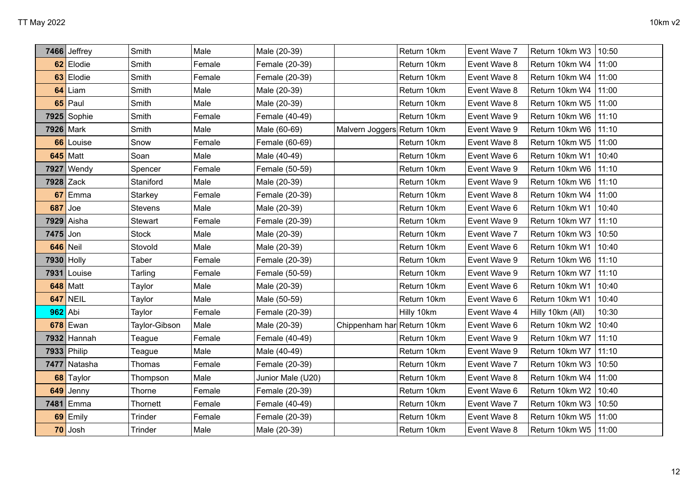|            | 7466 Jeffrey  | Smith         | Male   | Male (20-39)      |                             | Return 10km | Event Wave 7 | Return 10km W3         | 10:50 |
|------------|---------------|---------------|--------|-------------------|-----------------------------|-------------|--------------|------------------------|-------|
|            | 62 Elodie     | Smith         | Female | Female (20-39)    |                             | Return 10km | Event Wave 8 | Return 10km W4         | 11:00 |
|            | 63 Elodie     | Smith         | Female | Female (20-39)    |                             | Return 10km | Event Wave 8 | Return 10km W4         | 11:00 |
| 64         | Liam          | Smith         | Male   | Male (20-39)      |                             | Return 10km | Event Wave 8 | Return 10km W4         | 11:00 |
| 65         | Paul          | Smith         | Male   | Male (20-39)      |                             | Return 10km | Event Wave 8 | Return 10km W5         | 11:00 |
|            | $7925$ Sophie | Smith         | Female | Female (40-49)    |                             | Return 10km | Event Wave 9 | Return 10km W6   11:10 |       |
|            | 7926 Mark     | Smith         | Male   | Male (60-69)      | Malvern Joggers Return 10km |             | Event Wave 9 | Return 10km W6         | 11:10 |
| 66         | Louise        | Snow          | Female | Female (60-69)    |                             | Return 10km | Event Wave 8 | Return 10km W5         | 11:00 |
| 645        | Matt          | Soan          | Male   | Male (40-49)      |                             | Return 10km | Event Wave 6 | Return 10km W1         | 10:40 |
| 7927       | Wendy         | Spencer       | Female | Female (50-59)    |                             | Return 10km | Event Wave 9 | Return 10km W6         | 11:10 |
|            | $7928$ Zack   | Staniford     | Male   | Male (20-39)      |                             | Return 10km | Event Wave 9 | Return 10km W6         | 11:10 |
| 67         | Emma          | Starkey       | Female | Female (20-39)    |                             | Return 10km | Event Wave 8 | Return 10km W4         | 11:00 |
| 687        | Joe           | Stevens       | Male   | Male (20-39)      |                             | Return 10km | Event Wave 6 | Return 10km W1         | 10:40 |
| 7929       | Aisha         | Stewart       | Female | Female (20-39)    |                             | Return 10km | Event Wave 9 | Return 10km W7         | 11:10 |
| $7475$ Jon |               | <b>Stock</b>  | Male   | Male (20-39)      |                             | Return 10km | Event Wave 7 | Return 10km W3         | 10:50 |
| 646        | Neil          | Stovold       | Male   | Male (20-39)      |                             | Return 10km | Event Wave 6 | Return 10km W1         | 10:40 |
|            | 7930 Holly    | Taber         | Female | Female (20-39)    |                             | Return 10km | Event Wave 9 | Return 10km W6         | 11:10 |
| 7931       | Louise        | Tarling       | Female | Female (50-59)    |                             | Return 10km | Event Wave 9 | Return 10km W7         | 11:10 |
| 648        | Matt          | Taylor        | Male   | Male (20-39)      |                             | Return 10km | Event Wave 6 | Return 10km W1         | 10:40 |
| 647        | <b>NEIL</b>   | Taylor        | Male   | Male (50-59)      |                             | Return 10km | Event Wave 6 | Return 10km W1         | 10:40 |
| 962        | Abi           | Taylor        | Female | Female (20-39)    |                             | Hilly 10km  | Event Wave 4 | Hilly 10km (All)       | 10:30 |
| 678        | Ewan          | Taylor-Gibson | Male   | Male (20-39)      | Chippenham har Return 10km  |             | Event Wave 6 | Return 10km W2         | 10:40 |
|            | $7932$ Hannah | Teague        | Female | Female (40-49)    |                             | Return 10km | Event Wave 9 | Return 10km W7         | 11:10 |
|            | 7933 Philip   | Teague        | Male   | Male (40-49)      |                             | Return 10km | Event Wave 9 | Return 10km W7         | 11:10 |
| 7477       | Natasha       | <b>Thomas</b> | Female | Female (20-39)    |                             | Return 10km | Event Wave 7 | Return 10km W3         | 10:50 |
| 68         | Taylor        | Thompson      | Male   | Junior Male (U20) |                             | Return 10km | Event Wave 8 | Return 10km W4         | 11:00 |
| 649        | Jenny         | Thorne        | Female | Female (20-39)    |                             | Return 10km | Event Wave 6 | Return 10km W2         | 10:40 |
| 7481       | Emma          | Thornett      | Female | Female (40-49)    |                             | Return 10km | Event Wave 7 | Return 10km W3         | 10:50 |
| 69         | Emily         | Trinder       | Female | Female (20-39)    |                             | Return 10km | Event Wave 8 | Return 10km W5         | 11:00 |
|            | 70 Josh       | Trinder       | Male   | Male (20-39)      |                             | Return 10km | Event Wave 8 | Return 10km W5   11:00 |       |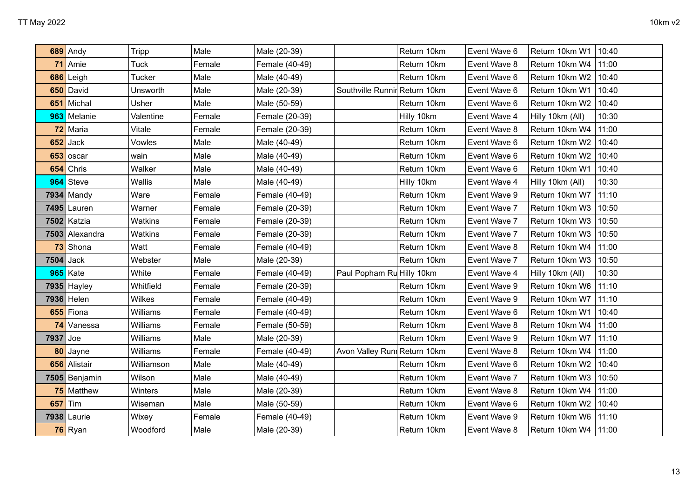|      | 689 Andy       | Tripp          | Male   | Male (20-39)   |                               | Return 10km | Event Wave 6 | Return 10km W1   | 10:40 |
|------|----------------|----------------|--------|----------------|-------------------------------|-------------|--------------|------------------|-------|
|      | 71 Amie        | <b>Tuck</b>    | Female | Female (40-49) |                               | Return 10km | Event Wave 8 | Return 10km W4   | 11:00 |
| 686  | Leigh          | <b>Tucker</b>  | Male   | Male (40-49)   |                               | Return 10km | Event Wave 6 | Return 10km W2   | 10:40 |
|      | 650 David      | Unsworth       | Male   | Male (20-39)   | Southville Runnir Return 10km |             | Event Wave 6 | Return 10km W1   | 10:40 |
|      | 651 Michal     | Usher          | Male   | Male (50-59)   |                               | Return 10km | Event Wave 6 | Return 10km W2   | 10:40 |
|      | 963 Melanie    | Valentine      | Female | Female (20-39) |                               | Hilly 10km  | Event Wave 4 | Hilly 10km (All) | 10:30 |
| 72   | Maria          | Vitale         | Female | Female (20-39) |                               | Return 10km | Event Wave 8 | Return 10km W4   | 11:00 |
| 652  | Jack           | Vowles         | Male   | Male (40-49)   |                               | Return 10km | Event Wave 6 | Return 10km W2   | 10:40 |
| 653  | oscar          | wain           | Male   | Male (40-49)   |                               | Return 10km | Event Wave 6 | Return 10km W2   | 10:40 |
| 654  | Chris          | Walker         | Male   | Male (40-49)   |                               | Return 10km | Event Wave 6 | Return 10km W1   | 10:40 |
| 964  | Steve          | Wallis         | Male   | Male (40-49)   |                               | Hilly 10km  | Event Wave 4 | Hilly 10km (All) | 10:30 |
|      | 7934 Mandy     | Ware           | Female | Female (40-49) |                               | Return 10km | Event Wave 9 | Return 10km W7   | 11:10 |
|      | $7495$ Lauren  | Warner         | Female | Female (20-39) |                               | Return 10km | Event Wave 7 | Return 10km W3   | 10:50 |
|      | 7502 Katzia    | <b>Watkins</b> | Female | Female (20-39) |                               | Return 10km | Event Wave 7 | Return 10km W3   | 10:50 |
|      | 7503 Alexandra | <b>Watkins</b> | Female | Female (20-39) |                               | Return 10km | Event Wave 7 | Return 10km W3   | 10:50 |
| 73   | Shona          | Watt           | Female | Female (40-49) |                               | Return 10km | Event Wave 8 | Return 10km W4   | 11:00 |
| 7504 | Jack           | Webster        | Male   | Male (20-39)   |                               | Return 10km | Event Wave 7 | Return 10km W3   | 10:50 |
|      | 965 Kate       | White          | Female | Female (40-49) | Paul Popham Ru Hilly 10km     |             | Event Wave 4 | Hilly 10km (All) | 10:30 |
|      | $7935$ Hayley  | Whitfield      | Female | Female (20-39) |                               | Return 10km | Event Wave 9 | Return 10km W6   | 11:10 |
|      | 7936 Helen     | <b>Wilkes</b>  | Female | Female (40-49) |                               | Return 10km | Event Wave 9 | Return 10km W7   | 11:10 |
| 655  | Fiona          | Williams       | Female | Female (40-49) |                               | Return 10km | Event Wave 6 | Return 10km W1   | 10:40 |
|      | 74 Vanessa     | Williams       | Female | Female (50-59) |                               | Return 10km | Event Wave 8 | Return 10km W4   | 11:00 |
| 7937 | Joe            | Williams       | Male   | Male (20-39)   |                               | Return 10km | Event Wave 9 | Return 10km W7   | 11:10 |
| 80   | Jayne          | Williams       | Female | Female (40-49) | Avon Valley Runi Return 10km  |             | Event Wave 8 | Return 10km W4   | 11:00 |
| 656  | Alistair       | Williamson     | Male   | Male (40-49)   |                               | Return 10km | Event Wave 6 | Return 10km W2   | 10:40 |
|      | 7505 Benjamin  | Wilson         | Male   | Male (40-49)   |                               | Return 10km | Event Wave 7 | Return 10km W3   | 10:50 |
|      | 75 Matthew     | Winters        | Male   | Male (20-39)   |                               | Return 10km | Event Wave 8 | Return 10km W4   | 11:00 |
| 657  | Tim            | Wiseman        | Male   | Male (50-59)   |                               | Return 10km | Event Wave 6 | Return 10km W2   | 10:40 |
|      | 7938 Laurie    | Wixey          | Female | Female (40-49) |                               | Return 10km | Event Wave 9 | Return 10km W6   | 11:10 |
|      | 76 Ryan        | Woodford       | Male   | Male (20-39)   |                               | Return 10km | Event Wave 8 | Return 10km W4   | 11:00 |